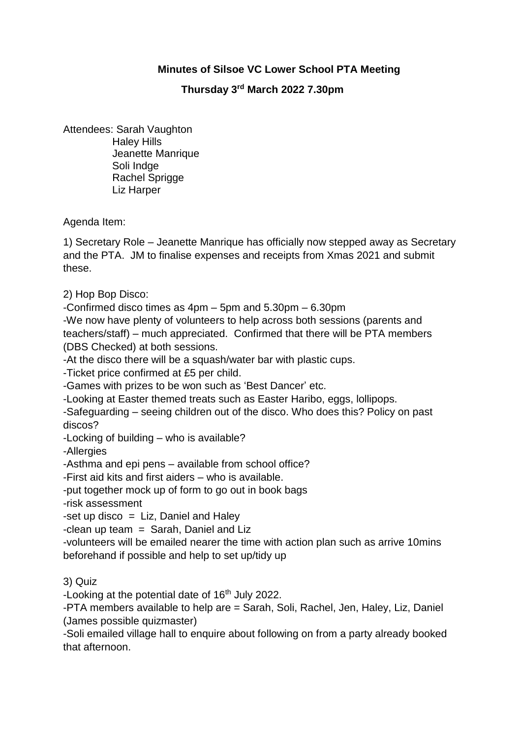## **Minutes of Silsoe VC Lower School PTA Meeting**

## **Thursday 3rd March 2022 7.30pm**

Attendees: Sarah Vaughton Haley Hills Jeanette Manrique Soli Indge Rachel Sprigge Liz Harper

Agenda Item:

1) Secretary Role – Jeanette Manrique has officially now stepped away as Secretary and the PTA. JM to finalise expenses and receipts from Xmas 2021 and submit these.

2) Hop Bop Disco:

-Confirmed disco times as 4pm – 5pm and 5.30pm – 6.30pm

-We now have plenty of volunteers to help across both sessions (parents and teachers/staff) – much appreciated. Confirmed that there will be PTA members (DBS Checked) at both sessions.

-At the disco there will be a squash/water bar with plastic cups.

-Ticket price confirmed at £5 per child.

-Games with prizes to be won such as 'Best Dancer' etc.

-Looking at Easter themed treats such as Easter Haribo, eggs, lollipops.

-Safeguarding – seeing children out of the disco. Who does this? Policy on past discos?

-Locking of building – who is available?

-Allergies

-Asthma and epi pens – available from school office?

-First aid kits and first aiders – who is available.

-put together mock up of form to go out in book bags

-risk assessment

-set up disco  $=$  Liz. Daniel and Haley

 $-$ clean up team = Sarah, Daniel and Liz

-volunteers will be emailed nearer the time with action plan such as arrive 10mins beforehand if possible and help to set up/tidy up

3) Quiz

-Looking at the potential date of  $16<sup>th</sup>$  July 2022.

-PTA members available to help are = Sarah, Soli, Rachel, Jen, Haley, Liz, Daniel (James possible quizmaster)

-Soli emailed village hall to enquire about following on from a party already booked that afternoon.